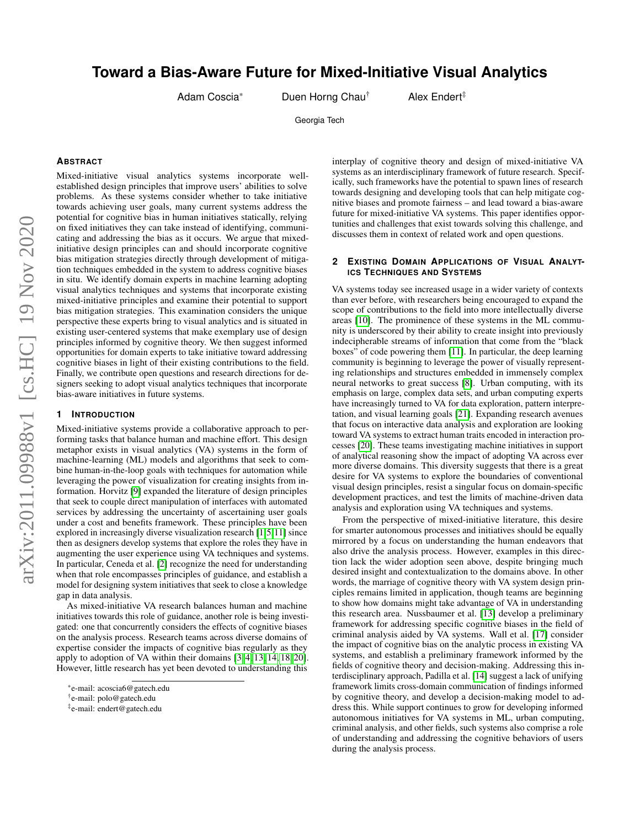# **Toward a Bias-Aware Future for Mixed-Initiative Visual Analytics**

Adam Coscia\* Duen Horng Chau<sup>†</sup> Alex Endert<sup>‡</sup>

Georgia Tech

#### **ABSTRACT**

Mixed-initiative visual analytics systems incorporate wellestablished design principles that improve users' abilities to solve problems. As these systems consider whether to take initiative towards achieving user goals, many current systems address the potential for cognitive bias in human initiatives statically, relying on fixed initiatives they can take instead of identifying, communicating and addressing the bias as it occurs. We argue that mixedinitiative design principles can and should incorporate cognitive bias mitigation strategies directly through development of mitigation techniques embedded in the system to address cognitive biases in situ. We identify domain experts in machine learning adopting visual analytics techniques and systems that incorporate existing mixed-initiative principles and examine their potential to support bias mitigation strategies. This examination considers the unique perspective these experts bring to visual analytics and is situated in existing user-centered systems that make exemplary use of design principles informed by cognitive theory. We then suggest informed opportunities for domain experts to take initiative toward addressing cognitive biases in light of their existing contributions to the field. Finally, we contribute open questions and research directions for designers seeking to adopt visual analytics techniques that incorporate bias-aware initiatives in future systems.

## **1 INTRODUCTION**

Mixed-initiative systems provide a collaborative approach to performing tasks that balance human and machine effort. This design metaphor exists in visual analytics (VA) systems in the form of machine-learning (ML) models and algorithms that seek to combine human-in-the-loop goals with techniques for automation while leveraging the power of visualization for creating insights from information. Horvitz [\[9\]](#page-2-0) expanded the literature of design principles that seek to couple direct manipulation of interfaces with automated services by addressing the uncertainty of ascertaining user goals under a cost and benefits framework. These principles have been explored in increasingly diverse visualization research [\[1,](#page-2-1)[5,](#page-2-2)[11\]](#page-2-3) since then as designers develop systems that explore the roles they have in augmenting the user experience using VA techniques and systems. In particular, Ceneda et al. [\[2\]](#page-2-4) recognize the need for understanding when that role encompasses principles of guidance, and establish a model for designing system initiatives that seek to close a knowledge gap in data analysis.

As mixed-initiative VA research balances human and machine initiatives towards this role of guidance, another role is being investigated: one that concurrently considers the effects of cognitive biases on the analysis process. Research teams across diverse domains of expertise consider the impacts of cognitive bias regularly as they apply to adoption of VA within their domains [\[3,](#page-2-5) [4,](#page-2-6) [13,](#page-2-7) [14,](#page-2-8) [18,](#page-2-9) [20\]](#page-2-10). However, little research has yet been devoted to understanding this

interplay of cognitive theory and design of mixed-initiative VA systems as an interdisciplinary framework of future research. Specifically, such frameworks have the potential to spawn lines of research towards designing and developing tools that can help mitigate cognitive biases and promote fairness – and lead toward a bias-aware future for mixed-initiative VA systems. This paper identifies opportunities and challenges that exist towards solving this challenge, and discusses them in context of related work and open questions.

## **2 EXISTING DOMAIN APPLICATIONS OF VISUAL ANALYT-ICS TECHNIQUES AND SYSTEMS**

VA systems today see increased usage in a wider variety of contexts than ever before, with researchers being encouraged to expand the scope of contributions to the field into more intellectually diverse areas [\[10\]](#page-2-11). The prominence of these systems in the ML community is underscored by their ability to create insight into previously indecipherable streams of information that come from the "black boxes" of code powering them [\[11\]](#page-2-3). In particular, the deep learning community is beginning to leverage the power of visually representing relationships and structures embedded in immensely complex neural networks to great success [\[8\]](#page-2-12). Urban computing, with its emphasis on large, complex data sets, and urban computing experts have increasingly turned to VA for data exploration, pattern interpretation, and visual learning goals [\[21\]](#page-2-13). Expanding research avenues that focus on interactive data analysis and exploration are looking toward VA systems to extract human traits encoded in interaction processes [\[20\]](#page-2-10). These teams investigating machine initiatives in support of analytical reasoning show the impact of adopting VA across ever more diverse domains. This diversity suggests that there is a great desire for VA systems to explore the boundaries of conventional visual design principles, resist a singular focus on domain-specific development practices, and test the limits of machine-driven data analysis and exploration using VA techniques and systems.

From the perspective of mixed-initiative literature, this desire for smarter autonomous processes and initiatives should be equally mirrored by a focus on understanding the human endeavors that also drive the analysis process. However, examples in this direction lack the wider adoption seen above, despite bringing much desired insight and contextualization to the domains above. In other words, the marriage of cognitive theory with VA system design principles remains limited in application, though teams are beginning to show how domains might take advantage of VA in understanding this research area. Nussbaumer et al. [\[13\]](#page-2-7) develop a preliminary framework for addressing specific cognitive biases in the field of criminal analysis aided by VA systems. Wall et al. [\[17\]](#page-2-14) consider the impact of cognitive bias on the analytic process in existing VA systems, and establish a preliminary framework informed by the fields of cognitive theory and decision-making. Addressing this interdisciplinary approach, Padilla et al. [\[14\]](#page-2-8) suggest a lack of unifying framework limits cross-domain communication of findings informed by cognitive theory, and develop a decision-making model to address this. While support continues to grow for developing informed autonomous initiatives for VA systems in ML, urban computing, criminal analysis, and other fields, such systems also comprise a role of understanding and addressing the cognitive behaviors of users during the analysis process.

<sup>\*</sup>e-mail: acoscia6@gatech.edu

<sup>†</sup> e-mail: polo@gatech.edu

<sup>‡</sup> e-mail: endert@gatech.edu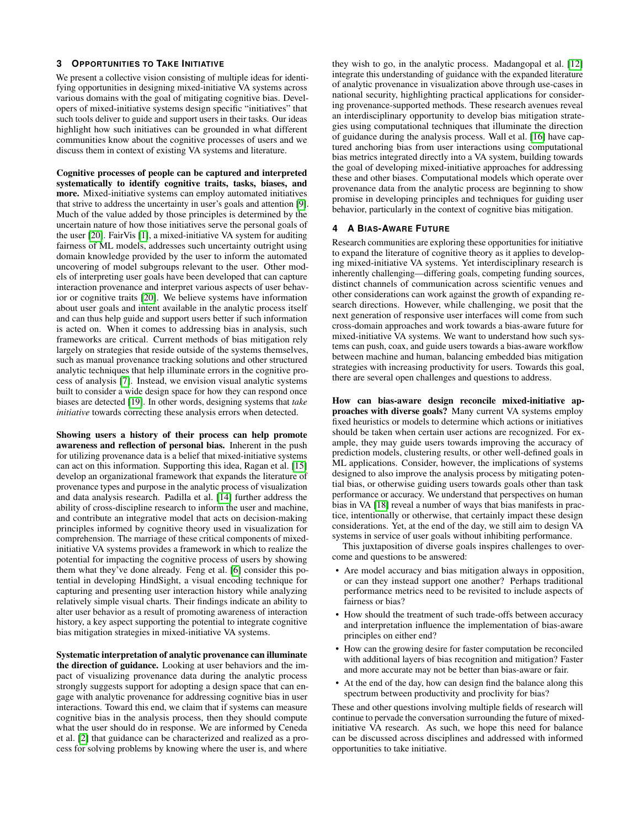## **3 OPPORTUNITIES TO TAKE INITIATIVE**

We present a collective vision consisting of multiple ideas for identifying opportunities in designing mixed-initiative VA systems across various domains with the goal of mitigating cognitive bias. Developers of mixed-initiative systems design specific "initiatives" that such tools deliver to guide and support users in their tasks. Our ideas highlight how such initiatives can be grounded in what different communities know about the cognitive processes of users and we discuss them in context of existing VA systems and literature.

Cognitive processes of people can be captured and interpreted systematically to identify cognitive traits, tasks, biases, and more. Mixed-initiative systems can employ automated initiatives that strive to address the uncertainty in user's goals and attention [\[9\]](#page-2-0). Much of the value added by those principles is determined by the uncertain nature of how those initiatives serve the personal goals of the user [\[20\]](#page-2-10). FairVis [\[1\]](#page-2-1), a mixed-initiative VA system for auditing fairness of ML models, addresses such uncertainty outright using domain knowledge provided by the user to inform the automated uncovering of model subgroups relevant to the user. Other models of interpreting user goals have been developed that can capture interaction provenance and interpret various aspects of user behavior or cognitive traits [\[20\]](#page-2-10). We believe systems have information about user goals and intent available in the analytic process itself and can thus help guide and support users better if such information is acted on. When it comes to addressing bias in analysis, such frameworks are critical. Current methods of bias mitigation rely largely on strategies that reside outside of the systems themselves, such as manual provenance tracking solutions and other structured analytic techniques that help illuminate errors in the cognitive process of analysis [\[7\]](#page-2-15). Instead, we envision visual analytic systems built to consider a wide design space for how they can respond once biases are detected [\[19\]](#page-2-16). In other words, designing systems that *take initiative* towards correcting these analysis errors when detected.

Showing users a history of their process can help promote awareness and reflection of personal bias. Inherent in the push for utilizing provenance data is a belief that mixed-initiative systems can act on this information. Supporting this idea, Ragan et al. [\[15\]](#page-2-17) develop an organizational framework that expands the literature of provenance types and purpose in the analytic process of visualization and data analysis research. Padilla et al. [\[14\]](#page-2-8) further address the ability of cross-discipline research to inform the user and machine, and contribute an integrative model that acts on decision-making principles informed by cognitive theory used in visualization for comprehension. The marriage of these critical components of mixedinitiative VA systems provides a framework in which to realize the potential for impacting the cognitive process of users by showing them what they've done already. Feng et al. [\[6\]](#page-2-18) consider this potential in developing HindSight, a visual encoding technique for capturing and presenting user interaction history while analyzing relatively simple visual charts. Their findings indicate an ability to alter user behavior as a result of promoting awareness of interaction history, a key aspect supporting the potential to integrate cognitive bias mitigation strategies in mixed-initiative VA systems.

Systematic interpretation of analytic provenance can illuminate the direction of guidance. Looking at user behaviors and the impact of visualizing provenance data during the analytic process strongly suggests support for adopting a design space that can engage with analytic provenance for addressing cognitive bias in user interactions. Toward this end, we claim that if systems can measure cognitive bias in the analysis process, then they should compute what the user should do in response. We are informed by Ceneda et al. [\[2\]](#page-2-4) that guidance can be characterized and realized as a process for solving problems by knowing where the user is, and where

they wish to go, in the analytic process. Madangopal et al. [\[12\]](#page-2-19) integrate this understanding of guidance with the expanded literature of analytic provenance in visualization above through use-cases in national security, highlighting practical applications for considering provenance-supported methods. These research avenues reveal an interdisciplinary opportunity to develop bias mitigation strategies using computational techniques that illuminate the direction of guidance during the analysis process. Wall et al. [\[16\]](#page-2-20) have captured anchoring bias from user interactions using computational bias metrics integrated directly into a VA system, building towards the goal of developing mixed-initiative approaches for addressing these and other biases. Computational models which operate over provenance data from the analytic process are beginning to show promise in developing principles and techniques for guiding user behavior, particularly in the context of cognitive bias mitigation.

## **4 A BIAS-AWARE FUTURE**

Research communities are exploring these opportunities for initiative to expand the literature of cognitive theory as it applies to developing mixed-initiative VA systems. Yet interdisciplinary research is inherently challenging—differing goals, competing funding sources, distinct channels of communication across scientific venues and other considerations can work against the growth of expanding research directions. However, while challenging, we posit that the next generation of responsive user interfaces will come from such cross-domain approaches and work towards a bias-aware future for mixed-initiative VA systems. We want to understand how such systems can push, coax, and guide users towards a bias-aware workflow between machine and human, balancing embedded bias mitigation strategies with increasing productivity for users. Towards this goal, there are several open challenges and questions to address.

How can bias-aware design reconcile mixed-initiative approaches with diverse goals? Many current VA systems employ fixed heuristics or models to determine which actions or initiatives should be taken when certain user actions are recognized. For example, they may guide users towards improving the accuracy of prediction models, clustering results, or other well-defined goals in ML applications. Consider, however, the implications of systems designed to also improve the analysis process by mitigating potential bias, or otherwise guiding users towards goals other than task performance or accuracy. We understand that perspectives on human bias in VA [\[18\]](#page-2-9) reveal a number of ways that bias manifests in practice, intentionally or otherwise, that certainly impact these design considerations. Yet, at the end of the day, we still aim to design VA systems in service of user goals without inhibiting performance.

This juxtaposition of diverse goals inspires challenges to overcome and questions to be answered:

- Are model accuracy and bias mitigation always in opposition, or can they instead support one another? Perhaps traditional performance metrics need to be revisited to include aspects of fairness or bias?
- How should the treatment of such trade-offs between accuracy and interpretation influence the implementation of bias-aware principles on either end?
- How can the growing desire for faster computation be reconciled with additional layers of bias recognition and mitigation? Faster and more accurate may not be better than bias-aware or fair.
- At the end of the day, how can design find the balance along this spectrum between productivity and proclivity for bias?

These and other questions involving multiple fields of research will continue to pervade the conversation surrounding the future of mixedinitiative VA research. As such, we hope this need for balance can be discussed across disciplines and addressed with informed opportunities to take initiative.